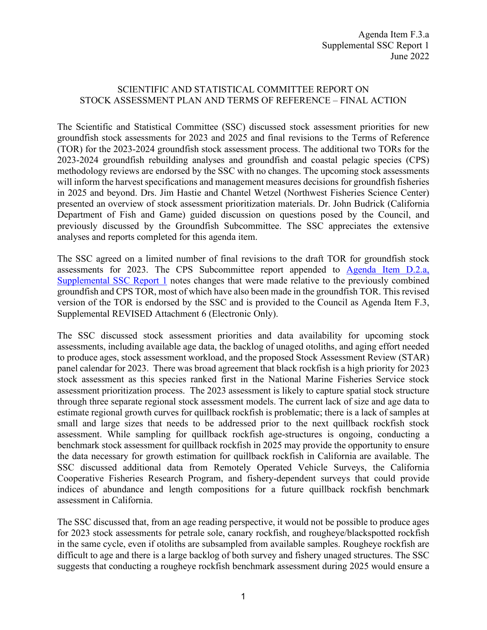## SCIENTIFIC AND STATISTICAL COMMITTEE REPORT ON STOCK ASSESSMENT PLAN AND TERMS OF REFERENCE – FINAL ACTION

The Scientific and Statistical Committee (SSC) discussed stock assessment priorities for new groundfish stock assessments for 2023 and 2025 and final revisions to the Terms of Reference (TOR) for the 2023-2024 groundfish stock assessment process. The additional two TORs for the 2023-2024 groundfish rebuilding analyses and groundfish and coastal pelagic species (CPS) methodology reviews are endorsed by the SSC with no changes. The upcoming stock assessments will inform the harvest specifications and management measures decisions for groundfish fisheries in 2025 and beyond. Drs. Jim Hastie and Chantel Wetzel (Northwest Fisheries Science Center) presented an overview of stock assessment prioritization materials. Dr. John Budrick (California Department of Fish and Game) guided discussion on questions posed by the Council, and previously discussed by the Groundfish Subcommittee. The SSC appreciates the extensive analyses and reports completed for this agenda item.

The SSC agreed on a limited number of final revisions to the draft TOR for groundfish stock assessments for 2023. The CPS Subcommittee report appended to [Agenda Item D.2.a,](https://www.pcouncil.org/documents/2022/06/d-2-a-supplemental-ssc-report-1-3.pdf/)  [Supplemental SSC Report 1](https://www.pcouncil.org/documents/2022/06/d-2-a-supplemental-ssc-report-1-3.pdf/) notes changes that were made relative to the previously combined groundfish and CPS TOR, most of which have also been made in the groundfish TOR. This revised version of the TOR is endorsed by the SSC and is provided to the Council as Agenda Item F.3, Supplemental REVISED Attachment 6 (Electronic Only).

The SSC discussed stock assessment priorities and data availability for upcoming stock assessments, including available age data, the backlog of unaged otoliths, and aging effort needed to produce ages, stock assessment workload, and the proposed Stock Assessment Review (STAR) panel calendar for 2023. There was broad agreement that black rockfish is a high priority for 2023 stock assessment as this species ranked first in the National Marine Fisheries Service stock assessment prioritization process. The 2023 assessment is likely to capture spatial stock structure through three separate regional stock assessment models. The current lack of size and age data to estimate regional growth curves for quillback rockfish is problematic; there is a lack of samples at small and large sizes that needs to be addressed prior to the next quillback rockfish stock assessment. While sampling for quillback rockfish age-structures is ongoing, conducting a benchmark stock assessment for quillback rockfish in 2025 may provide the opportunity to ensure the data necessary for growth estimation for quillback rockfish in California are available. The SSC discussed additional data from Remotely Operated Vehicle Surveys, the California Cooperative Fisheries Research Program, and fishery-dependent surveys that could provide indices of abundance and length compositions for a future quillback rockfish benchmark assessment in California.

The SSC discussed that, from an age reading perspective, it would not be possible to produce ages for 2023 stock assessments for petrale sole, canary rockfish, and rougheye/blackspotted rockfish in the same cycle, even if otoliths are subsampled from available samples. Rougheye rockfish are difficult to age and there is a large backlog of both survey and fishery unaged structures. The SSC suggests that conducting a rougheye rockfish benchmark assessment during 2025 would ensure a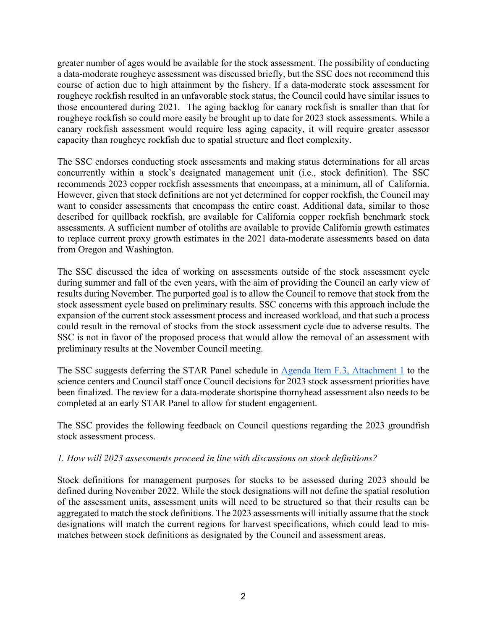greater number of ages would be available for the stock assessment. The possibility of conducting a data-moderate rougheye assessment was discussed briefly, but the SSC does not recommend this course of action due to high attainment by the fishery. If a data-moderate stock assessment for rougheye rockfish resulted in an unfavorable stock status, the Council could have similar issues to those encountered during 2021. The aging backlog for canary rockfish is smaller than that for rougheye rockfish so could more easily be brought up to date for 2023 stock assessments. While a canary rockfish assessment would require less aging capacity, it will require greater assessor capacity than rougheye rockfish due to spatial structure and fleet complexity.

The SSC endorses conducting stock assessments and making status determinations for all areas concurrently within a stock's designated management unit (i.e., stock definition). The SSC recommends 2023 copper rockfish assessments that encompass, at a minimum, all of California. However, given that stock definitions are not yet determined for copper rockfish, the Council may want to consider assessments that encompass the entire coast. Additional data, similar to those described for quillback rockfish, are available for California copper rockfish benchmark stock assessments. A sufficient number of otoliths are available to provide California growth estimates to replace current proxy growth estimates in the 2021 data-moderate assessments based on data from Oregon and Washington.

The SSC discussed the idea of working on assessments outside of the stock assessment cycle during summer and fall of the even years, with the aim of providing the Council an early view of results during November. The purported goal is to allow the Council to remove that stock from the stock assessment cycle based on preliminary results. SSC concerns with this approach include the expansion of the current stock assessment process and increased workload, and that such a process could result in the removal of stocks from the stock assessment cycle due to adverse results. The SSC is not in favor of the proposed process that would allow the removal of an assessment with preliminary results at the November Council meeting.

The SSC suggests deferring the STAR Panel schedule in [Agenda Item F.3, Attachment 1](https://www.pcouncil.org/documents/2022/05/f-3-attachment-1-summary-of-final-information-to-inform-selection-of-species-for-assessment-in-2023-workload-and-other-considerations.pdf/) to the science centers and Council staff once Council decisions for 2023 stock assessment priorities have been finalized. The review for a data-moderate shortspine thornyhead assessment also needs to be completed at an early STAR Panel to allow for student engagement.

The SSC provides the following feedback on Council questions regarding the 2023 groundfish stock assessment process.

## *1. How will 2023 assessments proceed in line with discussions on stock definitions?*

Stock definitions for management purposes for stocks to be assessed during 2023 should be defined during November 2022. While the stock designations will not define the spatial resolution of the assessment units, assessment units will need to be structured so that their results can be aggregated to match the stock definitions. The 2023 assessments will initially assume that the stock designations will match the current regions for harvest specifications, which could lead to mismatches between stock definitions as designated by the Council and assessment areas.